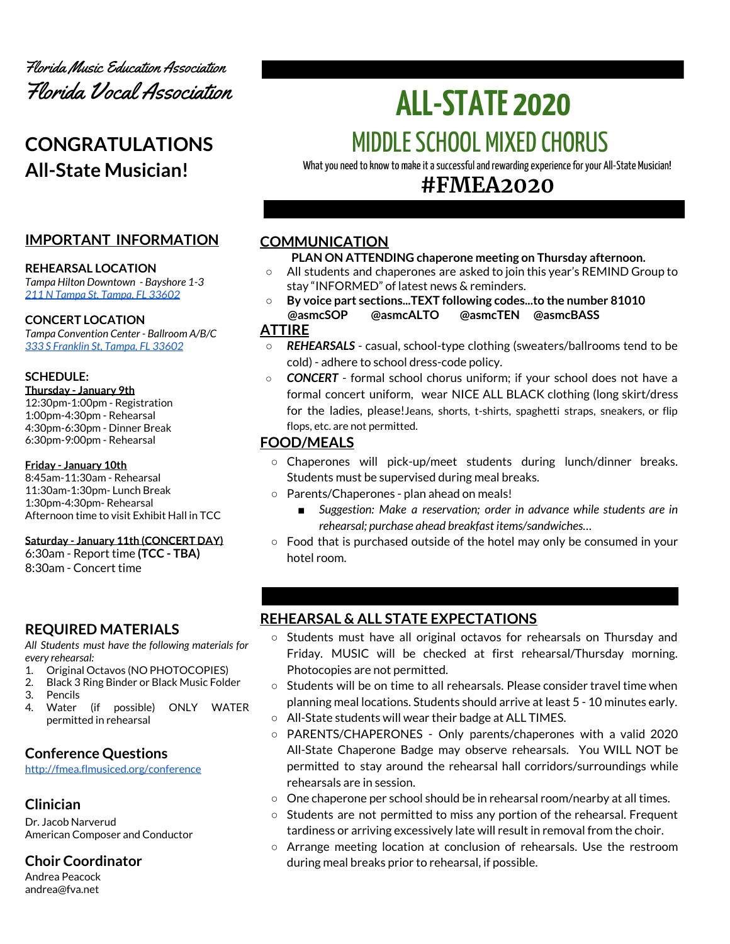

# **CONGRATULATIONS All-State Musician!**

# **IMPORTANT INFORMATION**

#### **REHEARSAL LOCATION**

*Tampa Hilton Downtown - Bayshore 1-3 211 N Tampa St, [Tampa,](https://www3.hilton.com/en/hotels/florida/hilton-tampa-downtown-TPANTHF/maps-directions/index.html) FL 33602*

#### **CONCERT LOCATION**

*Tampa Convention Center - Ballroom A/B/C 333 S [Franklin](https://www.tampagov.net/tcc/location2) St, Tampa, FL 33602*

#### **SCHEDULE:**

**Thursday - January 9th** 12:30pm-1:00pm - Registration 1:00pm-4:30pm - Rehearsal 4:30pm-6:30pm - Dinner Break 6:30pm-9:00pm - Rehearsal

#### **Friday - January 10th**

8:45am-11:30am - Rehearsal 11:30am-1:30pm- Lunch Break 1:30pm-4:30pm- Rehearsal Afternoon time to visit Exhibit Hall in TCC

#### **Saturday - January 11th (CONCERT DAY)**

6:30am - Report time **(TCC - TBA)** 8:30am - Concert time

## **REQUIRED MATERIALS**

*All Students must have the following materials for every rehearsal:*

- 1. Original Octavos (NO PHOTOCOPIES)
- 2. Black 3 Ring Binder or Black Music Folder
- 3. Pencils
- 4. Water (if possible) ONLY WATER permitted in rehearsal

# **Conference Questions**

<http://fmea.flmusiced.org/conference>

# **Clinician**

Dr. Jacob Narverud American Composer and Conductor

# **Choir Coordinator**

Andrea Peacock andrea@fva.net

# **ALL-STATE 2020 MIDDLE SCHOOL MIXED CHORUS**

What you need to know to make it a successful and rewarding experience for your All-State Musician!

# **#FMEA2020**

# **COMMUNICATION**

### **PLAN ON ATTENDING chaperone meeting on Thursday afternoon.**

- All students and chaperones are asked to join this year's REMIND Group to stay "INFORMED" of latest news & reminders.
- **○ By voice part sections...TEXT following codes...to the number 81010 @asmcSOP @asmcALTO @asmcTEN @asmcBASS**

# **ATTIRE**

- *REHEARSALS* casual, school-type clothing (sweaters/ballrooms tend to be cold) - adhere to school dress-code policy.
- *CONCERT* formal school chorus uniform; if your school does not have a formal concert uniform, wear NICE ALL BLACK clothing (long skirt/dress for the ladies, please!Jeans, shorts, t-shirts, spaghetti straps, sneakers, or flip flops, etc. are not permitted.

# **FOOD/MEALS**

- Chaperones will pick-up/meet students during lunch/dinner breaks. Students must be supervised during meal breaks.
- Parents/Chaperones plan ahead on meals!
	- *Suggestion: Make a reservation; order in advance while students are in rehearsal; purchase ahead breakfast items/sandwiches…*
- Food that is purchased outside of the hotel may only be consumed in your hotel room.

# **REHEARSAL & ALL STATE EXPECTATIONS**

- Students must have all original octavos for rehearsals on Thursday and Friday. MUSIC will be checked at first rehearsal/Thursday morning. Photocopies are not permitted.
- $\circ$  Students will be on time to all rehearsals. Please consider travel time when planning meal locations. Students should arrive at least 5 - 10 minutes early.
- All-State students will wear their badge at ALL TIMES.
- PARENTS/CHAPERONES Only parents/chaperones with a valid 2020 All-State Chaperone Badge may observe rehearsals. You WILL NOT be permitted to stay around the rehearsal hall corridors/surroundings while rehearsals are in session.
- One chaperone per school should be in rehearsal room/nearby at all times.
- Students are not permitted to miss any portion of the rehearsal. Frequent tardiness or arriving excessively late will result in removal from the choir.
- Arrange meeting location at conclusion of rehearsals. Use the restroom during meal breaks prior to rehearsal, if possible.